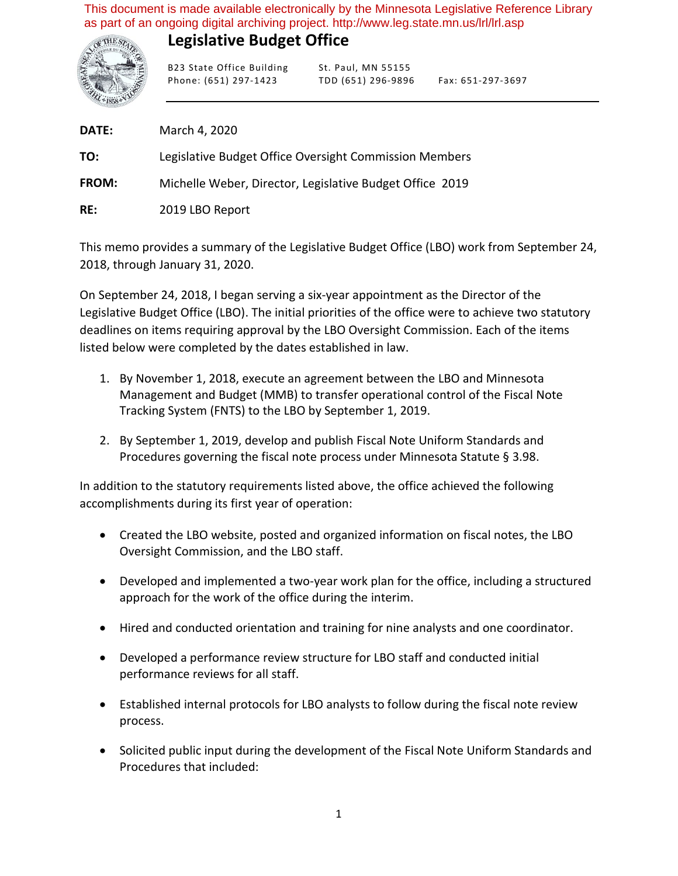This document is made available electronically by the Minnesota Legislative Reference Library as part of an ongoing digital archiving project. http://www.leg.state.mn.us/lrl/lrl.asp

## **Legislative Budget Office**



B23 State Office Building St. Paul, MN 55155 Phone: (651) 297-1423 TDD (651) 296-9896 Fax: 651-297-3697

**DATE: TO: FROM: RE:** March 4, 2020 Legislative Budget Office Oversight Commission Members Michelle Weber, Director, Legislative Budget Office 2019 2019 LBO Report

This memo provides a summary of the Legislative Budget Office (LBO) work from September 24, 2018, through January 31, 2020.

On September 24, 2018, I began serving a six-year appointment as the Director of the Legislative Budget Office (LBO). The initial priorities of the office were to achieve two statutory deadlines on items requiring approval by the LBO Oversight Commission. Each of the items listed below were completed by the dates established in law.

- 1. By November 1, 2018, execute an agreement between the LBO and Minnesota Management and Budget (MMB) to transfer operational control of the Fiscal Note Tracking System (FNTS) to the LBO by September 1, 2019.
- 2. By September 1, 2019, develop and publish Fiscal Note Uniform Standards and Procedures governing the fiscal note process under Minnesota Statute § 3.98.

In addition to the statutory requirements listed above, the office achieved the following accomplishments during its first year of operation:

- Created the LBO website, posted and organized information on fiscal notes, the LBO Oversight Commission, and the LBO staff.
- Developed and implemented a two-year work plan for the office, including a structured approach for the work of the office during the interim.
- Hired and conducted orientation and training for nine analysts and one coordinator.
- Developed a performance review structure for LBO staff and conducted initial performance reviews for all staff.
- Established internal protocols for LBO analysts to follow during the fiscal note review process.
- Solicited public input during the development of the Fiscal Note Uniform Standards and Procedures that included: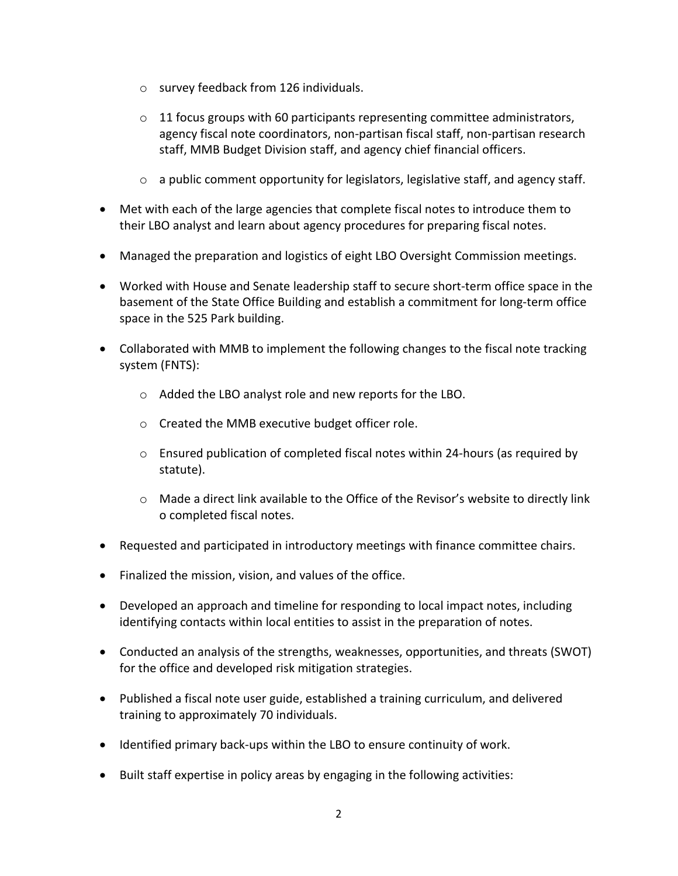- o survey feedback from 126 individuals.
- $\circ$  11 focus groups with 60 participants representing committee administrators, agency fiscal note coordinators, non-partisan fiscal staff, non-partisan research staff, MMB Budget Division staff, and agency chief financial officers.
- o a public comment opportunity for legislators, legislative staff, and agency staff.
- Met with each of the large agencies that complete fiscal notes to introduce them to their LBO analyst and learn about agency procedures for preparing fiscal notes.
- Managed the preparation and logistics of eight LBO Oversight Commission meetings.
- Worked with House and Senate leadership staff to secure short-term office space in the basement of the State Office Building and establish a commitment for long-term office space in the 525 Park building.
- Collaborated with MMB to implement the following changes to the fiscal note tracking system (FNTS):
	- o Added the LBO analyst role and new reports for the LBO.
	- o Created the MMB executive budget officer role.
	- o Ensured publication of completed fiscal notes within 24-hours (as required by statute).
	- o Made a direct link available to the Office of the Revisor's website to directly link o completed fiscal notes.
- Requested and participated in introductory meetings with finance committee chairs.
- Finalized the mission, vision, and values of the office.
- Developed an approach and timeline for responding to local impact notes, including identifying contacts within local entities to assist in the preparation of notes.
- Conducted an analysis of the strengths, weaknesses, opportunities, and threats (SWOT) for the office and developed risk mitigation strategies.
- Published a fiscal note user guide, established a training curriculum, and delivered training to approximately 70 individuals.
- Identified primary back-ups within the LBO to ensure continuity of work.
- Built staff expertise in policy areas by engaging in the following activities: